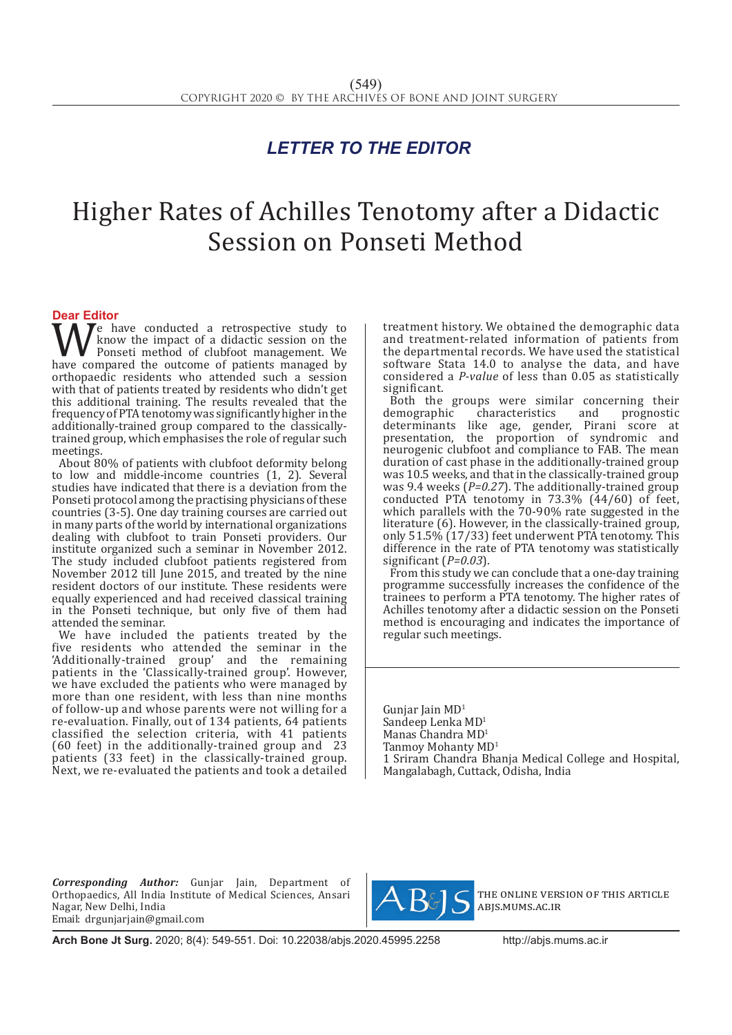## *LETTER TO THE EDITOR*

# Higher Rates of Achilles Tenotomy after a Didactic Session on Ponseti Method

**Dear Editor**<br>**T A 7e** have conducted a retrospective study to We have conducted a retrospective study to<br>ponseti method of clubfoot management. We<br>have compared the outcome of patients managed by<br>orthonogedic residents who attended such a session know the impact of a didactic session on the Ponseti method of clubfoot management. We have compared the outcome of patients managed by orthopaedic residents who attended such a session with that of patients treated by residents who didn't get this additional training. The results revealed that the frequency of PTA tenotomy was significantly higher in the additionally-trained group compared to the classicallytrained group, which emphasises the role of regular such meetings.

About 80% of patients with clubfoot deformity belong to low and middle-income countries (1, 2). Several studies have indicated that there is a deviation from the Ponseti protocol among the practising physicians of these countries (3-5). One day training courses are carried out in many parts of the world by international organizations dealing with clubfoot to train Ponseti providers. Our institute organized such a seminar in November 2012. The study included clubfoot patients registered from November 2012 till June 2015, and treated by the nine resident doctors of our institute. These residents were equally experienced and had received classical training in the Ponseti technique, but only five of them had attended the seminar.

We have included the patients treated by the five residents who attended the seminar in the 'Additionally-trained group' and the remaining patients in the 'Classically-trained group'. However, we have excluded the patients who were managed by more than one resident, with less than nine months of follow-up and whose parents were not willing for a re-evaluation. Finally, out of 134 patients, 64 patients classified the selection criteria, with 41 patients (60 feet) in the additionally-trained group and 23 patients (33 feet) in the classically-trained group. Next, we re-evaluated the patients and took a detailed treatment history. We obtained the demographic data and treatment-related information of patients from the departmental records. We have used the statistical software Stata 14.0 to analyse the data, and have considered a *P-value* of less than 0.05 as statistically significant.

Both the groups were similar concerning their<br>demographic characteristics and prognostic demographic characteristics and prognostic determinants like age, gender, Pirani score at presentation, the proportion of syndromic and neurogenic clubfoot and compliance to FAB. The mean duration of cast phase in the additionally-trained group was 10.5 weeks, and that in the classically-trained group was 9.4 weeks (*P=0.27*). The additionally-trained group conducted PTA tenotomy in 73.3% (44/60) of feet, which parallels with the 70-90% rate suggested in the literature (6). However, in the classically-trained group, only 51.5% (17/33) feet underwent PTA tenotomy. This difference in the rate of PTA tenotomy was statistically significant (*P=0.03*).

From this study we can conclude that a one-day training programme successfully increases the confidence of the trainees to perform a PTA tenotomy. The higher rates of Achilles tenotomy after a didactic session on the Ponseti method is encouraging and indicates the importance of regular such meetings.

Gunjar Jain MD<sup>1</sup> Sandeep Lenka MD<sup>1</sup> Manas Chandra MD<sup>1</sup> Tanmoy Mohanty MD<sup>1</sup> 1 Sriram Chandra Bhanja Medical College and Hospital, Mangalabagh, Cuttack, Odisha, India

*Corresponding Author:* Gunjar Jain, Department of Orthopaedics, All India Institute of Medical Sciences, Ansari Nagar, New Delhi, India Email: drgunjarjain@gmail.com



the online version of this article abjs.mums.ac.ir

**Arch Bone Jt Surg.** 2020; 8(4): 549-551. Doi: 10.22038/abjs.2020.45995.2258http://abjs.mums.ac.ir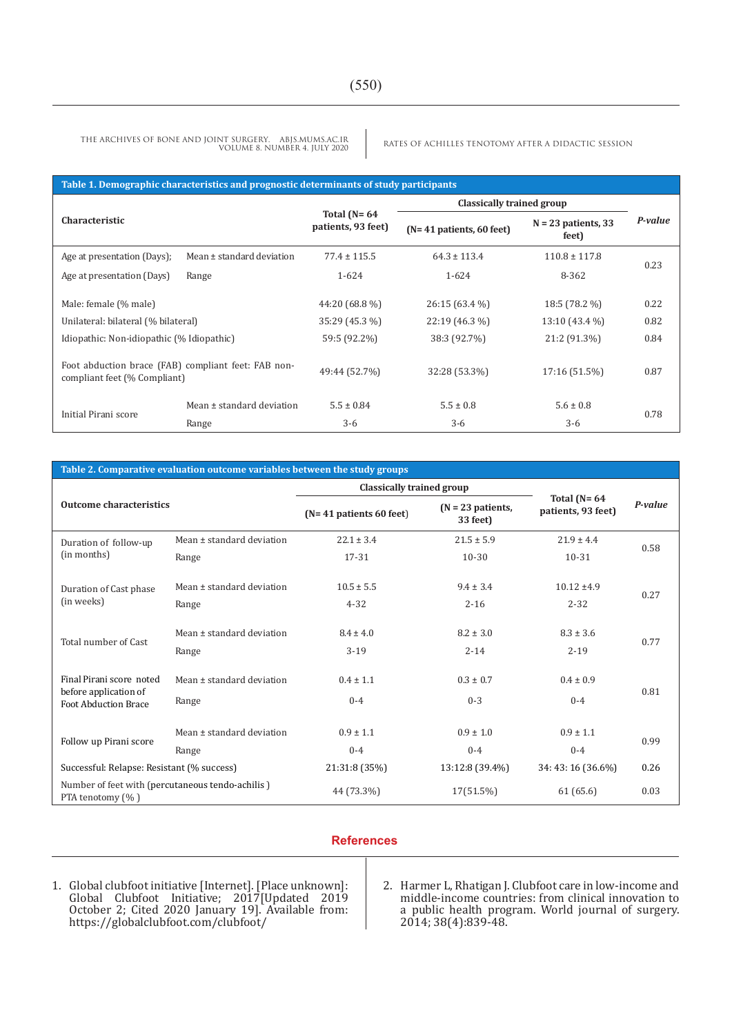RATES OF ACHILLES TENOTOMY AFTER A DIDACTIC SESSION THE ARCHIVES OF BONE AND JOINT SURGERY. ABJS.MUMS.AC.IR VOLUME 8. NUMBER 4. JULY 2020

#### **Table 1. Demographic characteristics and prognostic determinants of study participants**

| Characteristic                                                                      |                           | Total $(N=64)$<br>patients, 93 feet) | Classically trained group  |                                |         |
|-------------------------------------------------------------------------------------|---------------------------|--------------------------------------|----------------------------|--------------------------------|---------|
|                                                                                     |                           |                                      | $(N=41$ patients, 60 feet) | $N = 23$ patients, 33<br>feet) | P-value |
| Age at presentation (Days);                                                         | Mean ± standard deviation | $77.4 \pm 115.5$                     | $64.3 \pm 113.4$           | $110.8 \pm 117.8$              | 0.23    |
| Age at presentation (Days)                                                          | Range                     | $1 - 624$                            | 1-624                      | 8-362                          |         |
| Male: female (% male)                                                               |                           | 44:20 (68.8 %)                       | 26:15 (63.4 %)             | 18:5 (78.2 %)                  | 0.22    |
| Unilateral: bilateral (% bilateral)                                                 |                           | 35:29 (45.3 %)                       | 22:19 (46.3 %)             | 13:10 (43.4 %)                 | 0.82    |
| Idiopathic: Non-idiopathic (% Idiopathic)                                           |                           | 59:5 (92.2%)                         | 38:3 (92.7%)               | 21:2 (91.3%)                   | 0.84    |
| Foot abduction brace (FAB) compliant feet: FAB non-<br>compliant feet (% Compliant) |                           | 49:44 (52.7%)                        | 32:28 (53.3%)              | 17:16 (51.5%)                  | 0.87    |
| Initial Pirani score                                                                | Mean ± standard deviation | $5.5 \pm 0.84$                       | $5.5 \pm 0.8$              | $5.6 \pm 0.8$                  | 0.78    |
|                                                                                     | Range                     | $3-6$                                | $3-6$                      | $3-6$                          |         |

#### **Table 2. Comparative evaluation outcome variables between the study groups**

|                                                                                  |                           | Classically trained group |                                 | P-value            |                                        |
|----------------------------------------------------------------------------------|---------------------------|---------------------------|---------------------------------|--------------------|----------------------------------------|
| <b>Outcome characteristics</b>                                                   |                           | $(N=41$ patients 60 feet) | $(N = 23$ patients,<br>33 feet) |                    | Total ( $N = 64$<br>patients, 93 feet) |
| Duration of follow-up<br>(in months)                                             | Mean ± standard deviation | $22.1 \pm 3.4$            | $21.5 \pm 5.9$                  | $21.9 \pm 4.4$     | 0.58                                   |
|                                                                                  | Range                     | 17-31                     | $10 - 30$                       | 10-31              |                                        |
| Duration of Cast phase<br>(in weeks)                                             | Mean ± standard deviation | $10.5 \pm 5.5$            | $9.4 \pm 3.4$                   | $10.12 \pm 4.9$    | 0.27                                   |
|                                                                                  | Range                     | $4 - 32$                  | $2 - 16$                        | $2 - 32$           |                                        |
| Total number of Cast                                                             | Mean ± standard deviation | $8.4 \pm 4.0$             | $8.2 \pm 3.0$                   | $8.3 \pm 3.6$      | 0.77                                   |
|                                                                                  | Range                     | $3-19$                    | $2 - 14$                        | $2 - 19$           |                                        |
| Final Pirani score noted<br>before application of<br><b>Foot Abduction Brace</b> | Mean ± standard deviation | $0.4 \pm 1.1$             | $0.3 \pm 0.7$                   | $0.4 \pm 0.9$      | 0.81                                   |
|                                                                                  | Range                     | $0 - 4$                   | $0 - 3$                         | $0 - 4$            |                                        |
| Follow up Pirani score                                                           | Mean ± standard deviation | $0.9 \pm 1.1$             | $0.9 \pm 1.0$                   | $0.9 \pm 1.1$      | 0.99                                   |
|                                                                                  | Range                     | $0 - 4$                   | $0 - 4$                         | $0 - 4$            |                                        |
| Successful: Relapse: Resistant (% success)                                       |                           | 21:31:8 (35%)             | 13:12:8 (39.4%)                 | 34: 43: 16 (36.6%) | 0.26                                   |
| Number of feet with (percutaneous tendo-achilis)<br>PTA tenotomy (%)             |                           | 44 (73.3%)                | $17(51.5\%)$                    | 61(65.6)           | 0.03                                   |

### **References**

1. Global clubfoot initiative [Internet]. [Place unknown]: Global Clubfoot Initiative; 2017[Updated 2019 October 2; Cited 2020 January 19]. Available from: https://globalclubfoot.com/clubfoot/

2. Harmer L, Rhatigan J. Clubfoot care in low-income and middle-income countries: from clinical innovation to a public health program. World journal of surgery. 2014; 38(4):839-48.